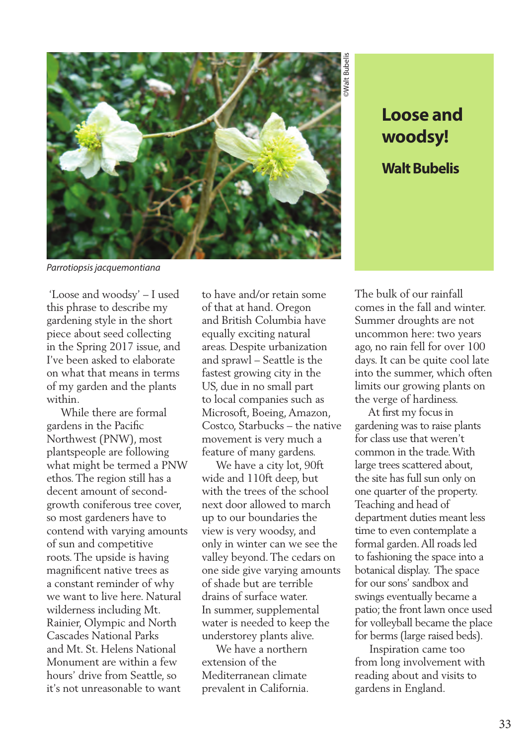

**woodsy! Walt Bubelis**

*Parrotiopsis jacquemontiana*

 'Loose and woodsy' – I used this phrase to describe my gardening style in the short piece about seed collecting in the Spring 2017 issue, and I've been asked to elaborate on what that means in terms of my garden and the plants within.

 While there are formal gardens in the Pacific Northwest (PNW), most plantspeople are following what might be termed a PNW ethos. The region still has a decent amount of secondgrowth coniferous tree cover, so most gardeners have to contend with varying amounts of sun and competitive roots. The upside is having magnificent native trees as a constant reminder of why we want to live here. Natural wilderness including Mt. Rainier, Olympic and North Cascades National Parks and Mt. St. Helens National Monument are within a few hours' drive from Seattle, so it's not unreasonable to want

to have and/or retain some of that at hand. Oregon and British Columbia have equally exciting natural areas. Despite urbanization and sprawl – Seattle is the fastest growing city in the US, due in no small part to local companies such as Microsoft, Boeing, Amazon, Costco, Starbucks – the native movement is very much a feature of many gardens.

 We have a city lot, 90ft wide and 110ft deep, but with the trees of the school next door allowed to march up to our boundaries the view is very woodsy, and only in winter can we see the valley beyond. The cedars on one side give varying amounts of shade but are terrible drains of surface water. In summer, supplemental water is needed to keep the understorey plants alive.

 We have a northern extension of the Mediterranean climate prevalent in California. The bulk of our rainfall comes in the fall and winter. Summer droughts are not uncommon here: two years ago, no rain fell for over 100 days. It can be quite cool late into the summer, which often limits our growing plants on the verge of hardiness.

**Loose and<br>
woodsy!**<br>
Walt Bubelis<br>
Walt Bubelis<br>
in the fall and winter.<br>
ner droughts are not<br>
normon here: two years<br>
normon here: two years<br>
o rain fell for over 100<br>
(It can be quite cool late<br>
he summer, which often<br> At first my focus in gardening was to raise plants for class use that weren't common in the trade. With large trees scattered about, the site has full sun only on one quarter of the property. Teaching and head of department duties meant less time to even contemplate a formal garden. All roads led to fashioning the space into a botanical display. The space for our sons' sandbox and swings eventually became a patio; the front lawn once used for volleyball became the place for berms (large raised beds).

 Inspiration came too from long involvement with reading about and visits to gardens in England.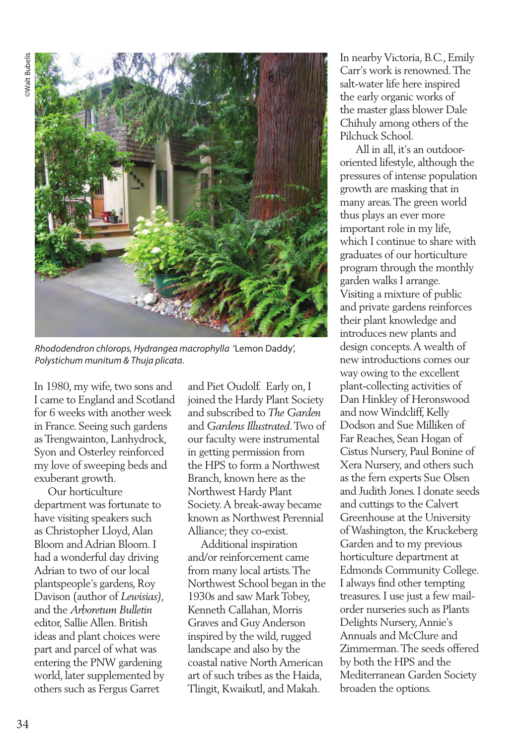

*Rhododendron chlorops, Hydrangea macrophylla* 'Lemon Daddy', *Polystichum munitum & Thuja plicata.*

In 1980, my wife, two sons and I came to England and Scotland for 6 weeks with another week in France. Seeing such gardens as Trengwainton, Lanhydrock, Syon and Osterley reinforced my love of sweeping beds and exuberant growth.

 Our horticulture department was fortunate to have visiting speakers such as Christopher Lloyd, Alan Bloom and Adrian Bloom. I had a wonderful day driving Adrian to two of our local plantspeople's gardens, Roy Davison (author of *Lewisias)*, and the *Arboretum Bulletin*  editor, Sallie Allen. British ideas and plant choices were part and parcel of what was entering the PNW gardening world, later supplemented by others such as Fergus Garret

and Piet Oudolf. Early on, I joined the Hardy Plant Society and subscribed to *The Garden* and *Gardens Illustrated*. Two of our faculty were instrumental in getting permission from the HPS to form a Northwest Branch, known here as the Northwest Hardy Plant Society. A break-away became known as Northwest Perennial Alliance; they co-exist.

 Additional inspiration and/or reinforcement came from many local artists. The Northwest School began in the 1930s and saw Mark Tobey, Kenneth Callahan, Morris Graves and Guy Anderson inspired by the wild, rugged landscape and also by the coastal native North American art of such tribes as the Haida, Tlingit, Kwaikutl, and Makah.

In nearby Victoria, B.C., Emily Carr's work is renowned. The salt-water life here inspired the early organic works of the master glass blower Dale Chihuly among others of the Pilchuck School.

 All in all, it's an outdoororiented lifestyle, although the pressures of intense population growth are masking that in many areas. The green world thus plays an ever more important role in my life, which I continue to share with graduates of our horticulture program through the monthly garden walks I arrange. Visiting a mixture of public and private gardens reinforces their plant knowledge and introduces new plants and design concepts. A wealth of new introductions comes our way owing to the excellent plant-collecting activities of Dan Hinkley of Heronswood and now Windcliff, Kelly Dodson and Sue Milliken of Far Reaches, Sean Hogan of Cistus Nursery, Paul Bonine of Xera Nursery, and others such as the fern experts Sue Olsen and Judith Jones. I donate seeds and cuttings to the Calvert Greenhouse at the University of Washington, the Kruckeberg Garden and to my previous horticulture department at Edmonds Community College. I always find other tempting treasures. I use just a few mailorder nurseries such as Plants Delights Nursery, Annie's Annuals and McClure and Zimmerman. The seeds offered by both the HPS and the Mediterranean Garden Society broaden the options.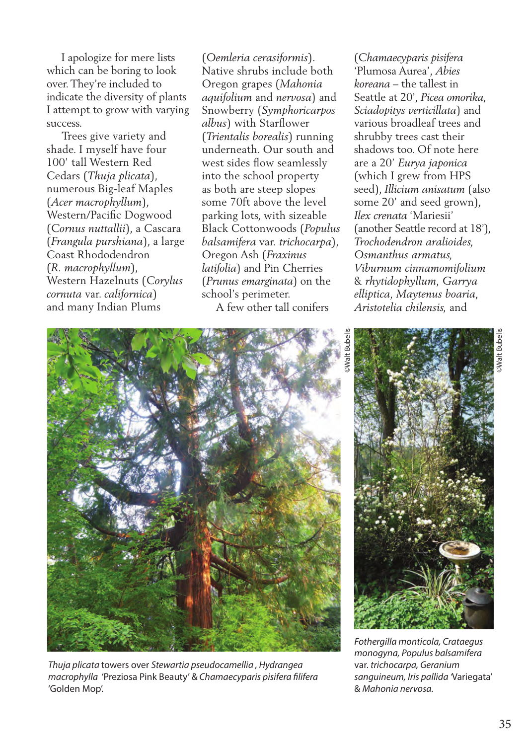I apologize for mere lists which can be boring to look over. They're included to indicate the diversity of plants I attempt to grow with varying success.

 Trees give variety and shade. I myself have four 100' tall Western Red Cedars (*Thuja plicata*), numerous Big-leaf Maples (*Acer macrophyllum*), Western/Pacific Dogwood (*Cornus nuttallii*), a Cascara (*Frangula purshiana*), a large Coast Rhododendron (*R. macrophyllum*), Western Hazelnuts (*Corylus cornuta* var. *californica*) and many Indian Plums

(*Oemleria cerasiformis*). Native shrubs include both Oregon grapes (*Mahonia aquifolium* and *nervosa*) and Snowberry (*Symphoricarpos albus*) with Starflower (*Trientalis borealis*) running underneath. Our south and west sides flow seamlessly into the school property as both are steep slopes some 70ft above the level parking lots, with sizeable Black Cottonwoods (*Populus balsamifera* var. *trichocarpa*), Oregon Ash (*Fraxinus latifolia*) and Pin Cherries (*Prunus emarginata*) on the school's perimeter.

A few other tall conifers

(*Chamaecyparis pisifera* 'Plumosa Aurea', *Abies koreana* – the tallest in Seattle at 20', *Picea omorika, Sciadopitys verticillata*) and various broadleaf trees and shrubby trees cast their shadows too. Of note here are a 20' *Eurya japonica* (which I grew from HPS seed), *Illicium anisatum* (also some 20' and seed grown), *Ilex crenata* 'Mariesii' (another Seattle record at 18'), *Trochodendron aralioides, Osmanthus armatus, Viburnum cinnamomifolium*  & *rhytidophyllum, Garrya elliptica, Maytenus boaria, Aristotelia chilensis,* and



*Thuja plicata* towers over *Stewartia pseudocamellia , Hydrangea macrophylla* 'Preziosa Pink Beauty' & *Chamaecyparis pisifera filifera*  'Golden Mop'.



*Fothergilla monticola, Crataegus monogyna, Populus balsamifera*  var. *trichocarpa, Geranium sanguineum, Iris pallida '*Variegata' & *Mahonia nervosa.*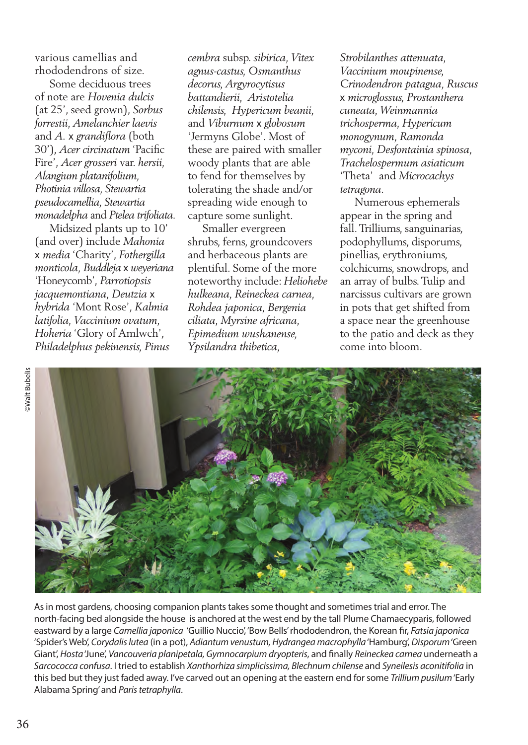various camellias and rhododendrons of size.

 Some deciduous trees of note are *Hovenia dulcis*  (at 25', seed grown), *Sorbus forrestii, Amelanchier laevis*  and *A.* x *grandiflora* (both 30'), *Acer circinatum* 'Pacific Fire', *Acer grosseri* var. *hersii, Alangium platanifolium, Photinia villosa, Stewartia pseudocamellia, Stewartia monadelpha* and *Ptelea trifoliata.* 

 Midsized plants up to 10' (and over) include *Mahonia* x *media* 'Charity', *Fothergilla monticola, Buddleja* x *weyeriana* 'Honeycomb', *Parrotiopsis jacquemontiana, Deutzia* x *hybrida* 'Mont Rose', *Kalmia latifolia, Vaccinium ovatum, Hoheria* 'Glory of Amlwch', *Philadelphus pekinensis, Pinus* 

*cembra* subsp. *sibirica, Vitex agnus-castus, Osmanthus decorus, Argyrocytisus battandierii, Aristotelia chilensis, Hypericum beanii,*  and *Viburnum* x *globosum* 'Jermyns Globe'. Most of these are paired with smaller woody plants that are able to fend for themselves by tolerating the shade and/or spreading wide enough to capture some sunlight.

 Smaller evergreen shrubs, ferns, groundcovers and herbaceous plants are plentiful. Some of the more noteworthy include: *Heliohebe hulkeana, Reineckea carnea, Rohdea japonica, Bergenia ciliata, Myrsine africana, Epimedium wushanense, Ypsilandra thibetica,* 

*Strobilanthes attenuata, Vaccinium moupinense, Crinodendron patagua, Ruscus*  x *microglossus, Prostanthera cuneata, Weinmannia trichosperma, Hypericum monogynum, Ramonda myconi, Desfontainia spinosa, Trachelospermum asiaticum*  'Theta' and *Microcachys tetragona.* 

 Numerous ephemerals appear in the spring and fall. Trilliums, sanguinarias, podophyllums, disporums, pinellias, erythroniums, colchicums, snowdrops, and an array of bulbs. Tulip and narcissus cultivars are grown in pots that get shifted from a space near the greenhouse to the patio and deck as they come into bloom.



As in most gardens, choosing companion plants takes some thought and sometimes trial and error. The north-facing bed alongside the house is anchored at the west end by the tall Plume Chamaecyparis, followed eastward by a large *Camellia japonica* 'Guillio Nuccio', 'Bow Bells' rhododendron, the Korean fir, *Fatsia japonica*  'Spider's Web', *Corydalis lutea* (in a pot), *Adiantum venustum, Hydrangea macrophylla* 'Hamburg', *Disporum* 'Green Giant', *Hosta* 'June', *Vancouveria planipetala, Gymnocarpium dryopteris*, and finally *Reineckea carnea* underneath a *Sarcococca confusa*. I tried to establish *Xanthorhiza simplicissima, Blechnum chilense* and *Syneilesis aconitifolia* in this bed but they just faded away. I've carved out an opening at the eastern end for some *Trillium pusilum* 'Early Alabama Spring' and *Paris tetraphylla*.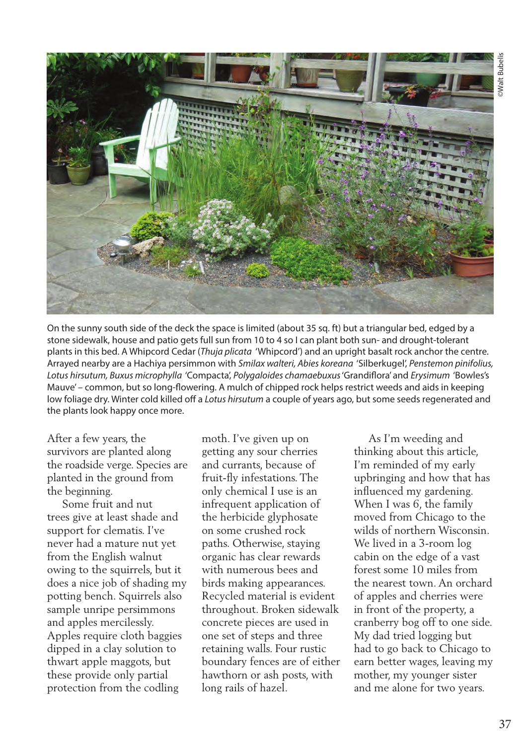

On the sunny south side of the deck the space is limited (about 35 sq. ft) but a triangular bed, edged by a stone sidewalk, house and patio gets full sun from 10 to 4 so I can plant both sun- and drought-tolerant plants in this bed. A Whipcord Cedar (*Thuja plicata* 'Whipcord') and an upright basalt rock anchor the centre. Arrayed nearby are a Hachiya persimmon with *Smilax walteri, Abies koreana* 'Silberkugel', *Penstemon pinifolius, Lotus hirsutum, Buxus microphylla* 'Compacta', *Polygaloides chamaebuxus* 'Grandiflora' and *Erysimum* 'Bowles's Mauve' – common, but so long-flowering. A mulch of chipped rock helps restrict weeds and aids in keeping low foliage dry. Winter cold killed off a *Lotus hirsutum* a couple of years ago, but some seeds regenerated and the plants look happy once more.

After a few years, the survivors are planted along the roadside verge. Species are planted in the ground from the beginning.

 Some fruit and nut trees give at least shade and support for clematis. I've never had a mature nut yet from the English walnut owing to the squirrels, but it does a nice job of shading my potting bench. Squirrels also sample unripe persimmons and apples mercilessly. Apples require cloth baggies dipped in a clay solution to thwart apple maggots, but these provide only partial protection from the codling

moth. I've given up on getting any sour cherries and currants, because of fruit-fly infestations. The only chemical I use is an infrequent application of the herbicide glyphosate on some crushed rock paths. Otherwise, staying organic has clear rewards with numerous bees and birds making appearances. Recycled material is evident throughout. Broken sidewalk concrete pieces are used in one set of steps and three retaining walls. Four rustic boundary fences are of either hawthorn or ash posts, with long rails of hazel.

 As I'm weeding and thinking about this article, I'm reminded of my early upbringing and how that has influenced my gardening. When I was 6, the family moved from Chicago to the wilds of northern Wisconsin. We lived in a 3-room log cabin on the edge of a vast forest some 10 miles from the nearest town. An orchard of apples and cherries were in front of the property, a cranberry bog off to one side. My dad tried logging but had to go back to Chicago to earn better wages, leaving my mother, my younger sister and me alone for two years.